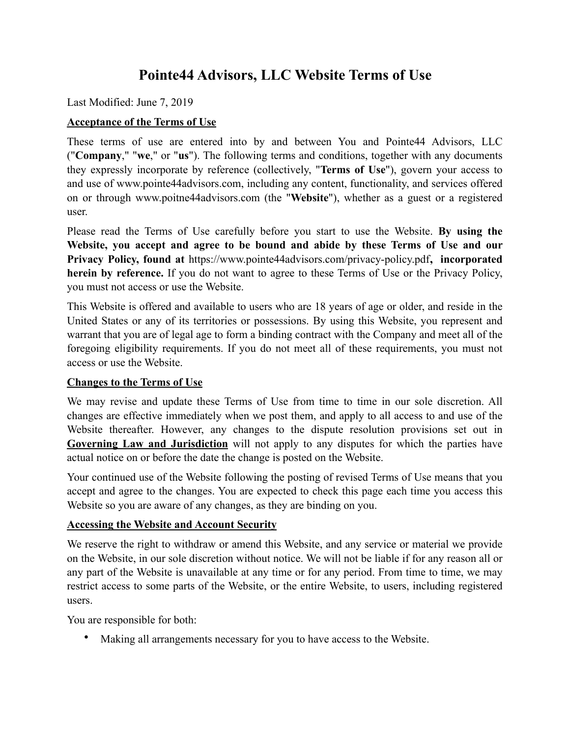# **Pointe44 Advisors, LLC Website Terms of Use**

Last Modified: June 7, 2019

### **Acceptance of the Terms of Use**

These terms of use are entered into by and between You and Pointe44 Advisors, LLC ("**Company**," "**we**," or "**us**"). The following terms and conditions, together with any documents they expressly incorporate by reference (collectively, "**Terms of Use**"), govern your access to and use of www.pointe44advisors.com, including any content, functionality, and services offered on or through www.poitne44advisors.com (the "**Website**"), whether as a guest or a registered user.

Please read the Terms of Use carefully before you start to use the Website. **By using the Website, you accept and agree to be bound and abide by these Terms of Use and our Privacy Policy, found at** <https://www.pointe44advisors.com/privacy-policy.pdf>**, incorporated herein by reference.** If you do not want to agree to these Terms of Use or the Privacy Policy, you must not access or use the Website.

This Website is offered and available to users who are 18 years of age or older, and reside in the United States or any of its territories or possessions. By using this Website, you represent and warrant that you are of legal age to form a binding contract with the Company and meet all of the foregoing eligibility requirements. If you do not meet all of these requirements, you must not access or use the Website.

# **Changes to the Terms of Use**

We may revise and update these Terms of Use from time to time in our sole discretion. All changes are effective immediately when we post them, and apply to all access to and use of the Website thereafter. However, any changes to the dispute resolution provisions set out in **[Governing Law and Jurisdiction](#page-9-0)** will not apply to any disputes for which the parties have actual notice on or before the date the change is posted on the Website.

Your continued use of the Website following the posting of revised Terms of Use means that you accept and agree to the changes. You are expected to check this page each time you access this Website so you are aware of any changes, as they are binding on you.

# **Accessing the Website and Account Security**

We reserve the right to withdraw or amend this Website, and any service or material we provide on the Website, in our sole discretion without notice. We will not be liable if for any reason all or any part of the Website is unavailable at any time or for any period. From time to time, we may restrict access to some parts of the Website, or the entire Website, to users, including registered users.

You are responsible for both:

• Making all arrangements necessary for you to have access to the Website.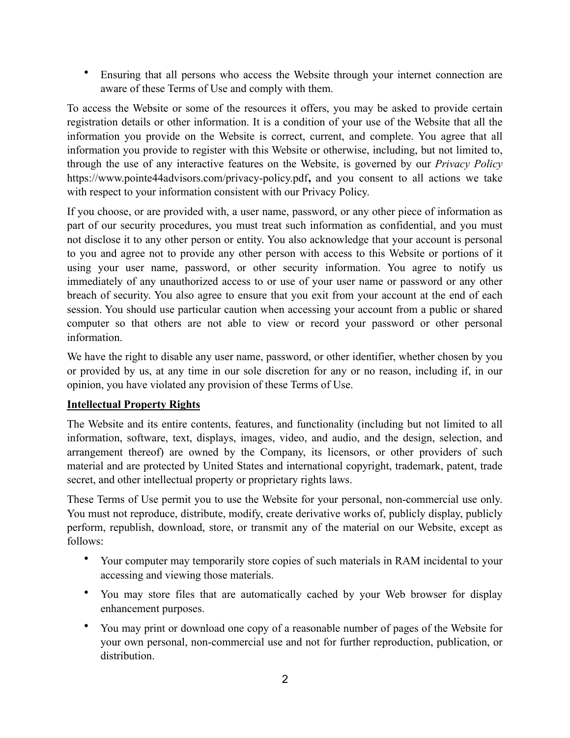• Ensuring that all persons who access the Website through your internet connection are aware of these Terms of Use and comply with them.

To access the Website or some of the resources it offers, you may be asked to provide certain registration details or other information. It is a condition of your use of the Website that all the information you provide on the Website is correct, current, and complete. You agree that all information you provide to register with this Website or otherwise, including, but not limited to, through the use of any interactive features on the Website, is governed by our *Privacy Policy* https://www.pointe44advisors.com/privacy-policy.pdf**,** and you consent to all actions we take with respect to your information consistent with our Privacy Policy.

If you choose, or are provided with, a user name, password, or any other piece of information as part of our security procedures, you must treat such information as confidential, and you must not disclose it to any other person or entity. You also acknowledge that your account is personal to you and agree not to provide any other person with access to this Website or portions of it using your user name, password, or other security information. You agree to notify us immediately of any unauthorized access to or use of your user name or password or any other breach of security. You also agree to ensure that you exit from your account at the end of each session. You should use particular caution when accessing your account from a public or shared computer so that others are not able to view or record your password or other personal information.

We have the right to disable any user name, password, or other identifier, whether chosen by you or provided by us, at any time in our sole discretion for any or no reason, including if, in our opinion, you have violated any provision of these Terms of Use.

# **Intellectual Property Rights**

The Website and its entire contents, features, and functionality (including but not limited to all information, software, text, displays, images, video, and audio, and the design, selection, and arrangement thereof) are owned by the Company, its licensors, or other providers of such material and are protected by United States and international copyright, trademark, patent, trade secret, and other intellectual property or proprietary rights laws.

These Terms of Use permit you to use the Website for your personal, non-commercial use only. You must not reproduce, distribute, modify, create derivative works of, publicly display, publicly perform, republish, download, store, or transmit any of the material on our Website, except as follows:

- Your computer may temporarily store copies of such materials in RAM incidental to your accessing and viewing those materials.
- You may store files that are automatically cached by your Web browser for display enhancement purposes.
- You may print or download one copy of a reasonable number of pages of the Website for your own personal, non-commercial use and not for further reproduction, publication, or distribution.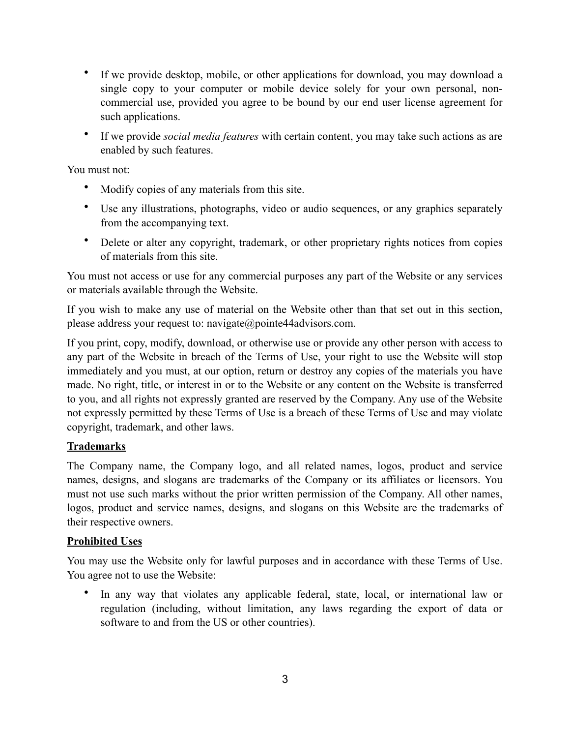- If we provide desktop, mobile, or other applications for download, you may download a single copy to your computer or mobile device solely for your own personal, noncommercial use, provided you agree to be bound by our end user license agreement for such applications.
- If we provide *social media features* with certain content, you may take such actions as are enabled by such features.

You must not:

- Modify copies of any materials from this site.
- Use any illustrations, photographs, video or audio sequences, or any graphics separately from the accompanying text.
- Delete or alter any copyright, trademark, or other proprietary rights notices from copies of materials from this site.

You must not access or use for any commercial purposes any part of the Website or any services or materials available through the Website.

If you wish to make any use of material on the Website other than that set out in this section, please address your request to: navigate@pointe44advisors.com.

If you print, copy, modify, download, or otherwise use or provide any other person with access to any part of the Website in breach of the Terms of Use, your right to use the Website will stop immediately and you must, at our option, return or destroy any copies of the materials you have made. No right, title, or interest in or to the Website or any content on the Website is transferred to you, and all rights not expressly granted are reserved by the Company. Any use of the Website not expressly permitted by these Terms of Use is a breach of these Terms of Use and may violate copyright, trademark, and other laws.

# **Trademarks**

The Company name, the Company logo, and all related names, logos, product and service names, designs, and slogans are trademarks of the Company or its affiliates or licensors. You must not use such marks without the prior written permission of the Company. All other names, logos, product and service names, designs, and slogans on this Website are the trademarks of their respective owners.

# **Prohibited Uses**

You may use the Website only for lawful purposes and in accordance with these Terms of Use. You agree not to use the Website:

• In any way that violates any applicable federal, state, local, or international law or regulation (including, without limitation, any laws regarding the export of data or software to and from the US or other countries).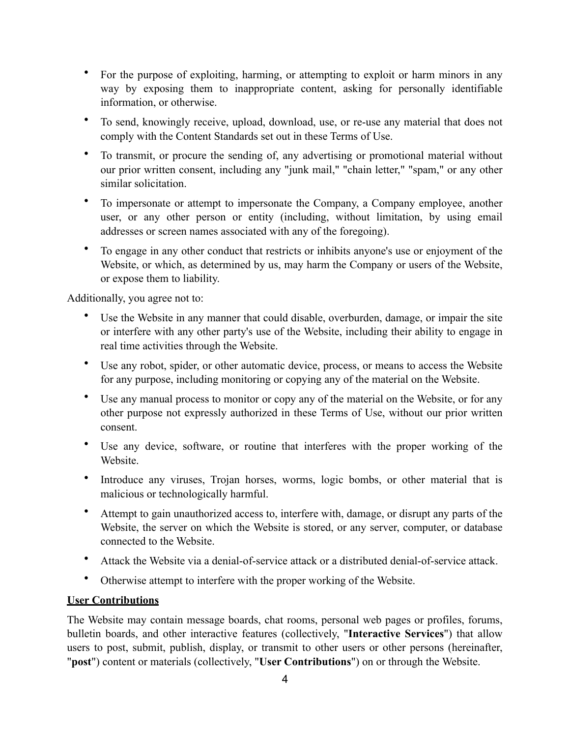- For the purpose of exploiting, harming, or attempting to exploit or harm minors in any way by exposing them to inappropriate content, asking for personally identifiable information, or otherwise.
- To send, knowingly receive, upload, download, use, or re-use any material that does not comply with the Content Standards set out in these Terms of Use.
- To transmit, or procure the sending of, any advertising or promotional material without our prior written consent, including any "junk mail," "chain letter," "spam," or any other similar solicitation.
- To impersonate or attempt to impersonate the Company, a Company employee, another user, or any other person or entity (including, without limitation, by using email addresses or screen names associated with any of the foregoing).
- To engage in any other conduct that restricts or inhibits anyone's use or enjoyment of the Website, or which, as determined by us, may harm the Company or users of the Website, or expose them to liability.

Additionally, you agree not to:

- Use the Website in any manner that could disable, overburden, damage, or impair the site or interfere with any other party's use of the Website, including their ability to engage in real time activities through the Website.
- Use any robot, spider, or other automatic device, process, or means to access the Website for any purpose, including monitoring or copying any of the material on the Website.
- Use any manual process to monitor or copy any of the material on the Website, or for any other purpose not expressly authorized in these Terms of Use, without our prior written consent.
- Use any device, software, or routine that interferes with the proper working of the Website.
- Introduce any viruses, Trojan horses, worms, logic bombs, or other material that is malicious or technologically harmful.
- Attempt to gain unauthorized access to, interfere with, damage, or disrupt any parts of the Website, the server on which the Website is stored, or any server, computer, or database connected to the Website.
- Attack the Website via a denial-of-service attack or a distributed denial-of-service attack.
- Otherwise attempt to interfere with the proper working of the Website.

#### **User Contributions**

The Website may contain message boards, chat rooms, personal web pages or profiles, forums, bulletin boards, and other interactive features (collectively, "**Interactive Services**") that allow users to post, submit, publish, display, or transmit to other users or other persons (hereinafter, "**post**") content or materials (collectively, "**User Contributions**") on or through the Website.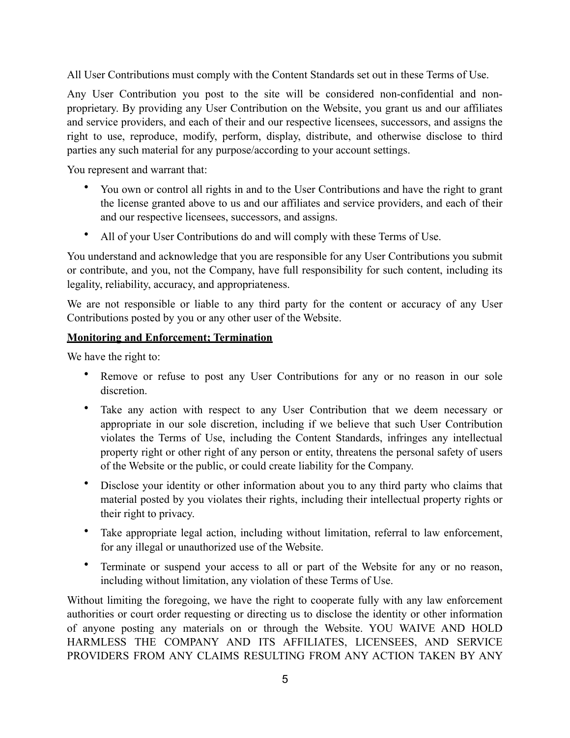All User Contributions must comply with the Content Standards set out in these Terms of Use.

Any User Contribution you post to the site will be considered non-confidential and nonproprietary. By providing any User Contribution on the Website, you grant us and our affiliates and service providers, and each of their and our respective licensees, successors, and assigns the right to use, reproduce, modify, perform, display, distribute, and otherwise disclose to third parties any such material for any purpose/according to your account settings.

You represent and warrant that:

- You own or control all rights in and to the User Contributions and have the right to grant the license granted above to us and our affiliates and service providers, and each of their and our respective licensees, successors, and assigns.
- All of your User Contributions do and will comply with these Terms of Use.

You understand and acknowledge that you are responsible for any User Contributions you submit or contribute, and you, not the Company, have full responsibility for such content, including its legality, reliability, accuracy, and appropriateness.

We are not responsible or liable to any third party for the content or accuracy of any User Contributions posted by you or any other user of the Website.

# **Monitoring and Enforcement; Termination**

We have the right to:

- Remove or refuse to post any User Contributions for any or no reason in our sole discretion.
- Take any action with respect to any User Contribution that we deem necessary or appropriate in our sole discretion, including if we believe that such User Contribution violates the Terms of Use, including the Content Standards, infringes any intellectual property right or other right of any person or entity, threatens the personal safety of users of the Website or the public, or could create liability for the Company.
- Disclose your identity or other information about you to any third party who claims that material posted by you violates their rights, including their intellectual property rights or their right to privacy.
- Take appropriate legal action, including without limitation, referral to law enforcement, for any illegal or unauthorized use of the Website.
- Terminate or suspend your access to all or part of the Website for any or no reason, including without limitation, any violation of these Terms of Use.

Without limiting the foregoing, we have the right to cooperate fully with any law enforcement authorities or court order requesting or directing us to disclose the identity or other information of anyone posting any materials on or through the Website. YOU WAIVE AND HOLD HARMLESS THE COMPANY AND ITS AFFILIATES, LICENSEES, AND SERVICE PROVIDERS FROM ANY CLAIMS RESULTING FROM ANY ACTION TAKEN BY ANY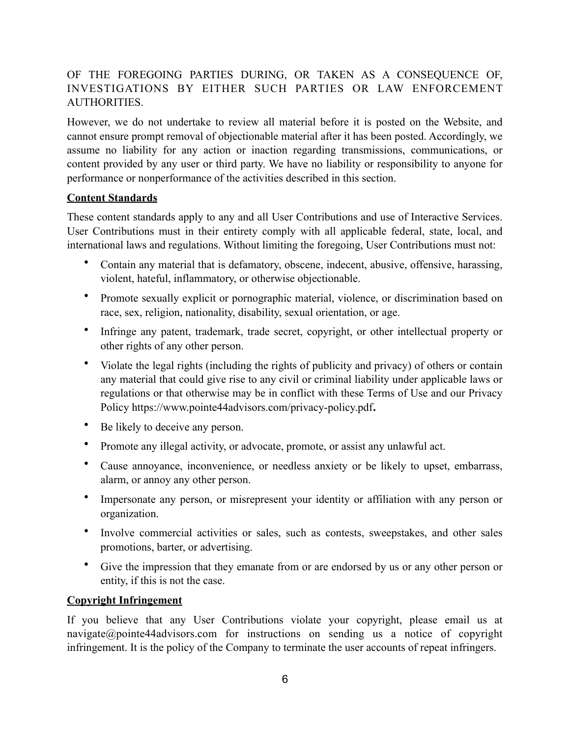# OF THE FOREGOING PARTIES DURING, OR TAKEN AS A CONSEQUENCE OF, INVESTIGATIONS BY EITHER SUCH PARTIES OR LAW ENFORCEMENT AUTHORITIES.

However, we do not undertake to review all material before it is posted on the Website, and cannot ensure prompt removal of objectionable material after it has been posted. Accordingly, we assume no liability for any action or inaction regarding transmissions, communications, or content provided by any user or third party. We have no liability or responsibility to anyone for performance or nonperformance of the activities described in this section.

# **Content Standards**

These content standards apply to any and all User Contributions and use of Interactive Services. User Contributions must in their entirety comply with all applicable federal, state, local, and international laws and regulations. Without limiting the foregoing, User Contributions must not:

- Contain any material that is defamatory, obscene, indecent, abusive, offensive, harassing, violent, hateful, inflammatory, or otherwise objectionable.
- Promote sexually explicit or pornographic material, violence, or discrimination based on race, sex, religion, nationality, disability, sexual orientation, or age.
- Infringe any patent, trademark, trade secret, copyright, or other intellectual property or other rights of any other person.
- Violate the legal rights (including the rights of publicity and privacy) of others or contain any material that could give rise to any civil or criminal liability under applicable laws or regulations or that otherwise may be in conflict with these Terms of Use and our Privacy Policy https://www.pointe44advisors.com/privacy-policy.pdf**.**
- Be likely to deceive any person.
- Promote any illegal activity, or advocate, promote, or assist any unlawful act.
- Cause annoyance, inconvenience, or needless anxiety or be likely to upset, embarrass, alarm, or annoy any other person.
- Impersonate any person, or misrepresent your identity or affiliation with any person or organization.
- Involve commercial activities or sales, such as contests, sweepstakes, and other sales promotions, barter, or advertising.
- Give the impression that they emanate from or are endorsed by us or any other person or entity, if this is not the case.

# **Copyright Infringement**

If you believe that any User Contributions violate your copyright, please email us at [navigate@pointe44advisors.com](mailto:navigate@pointe44advisors.com) for instructions on sending us a notice of copyright infringement. It is the policy of the Company to terminate the user accounts of repeat infringers.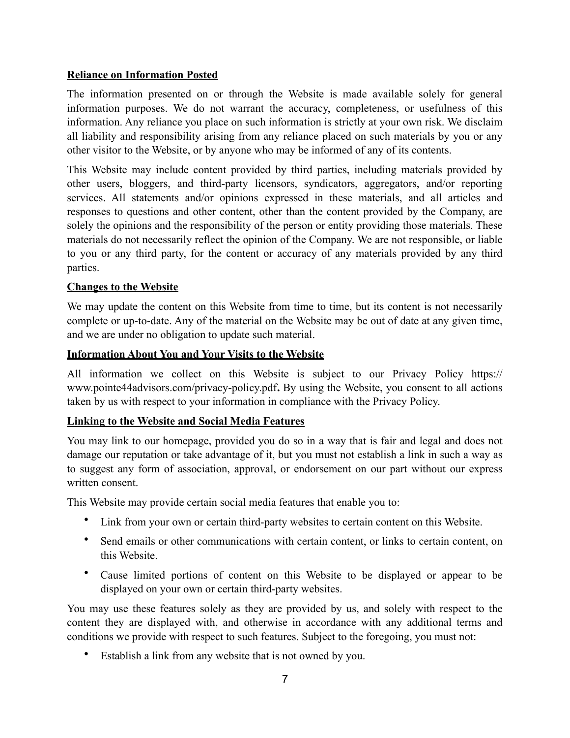### **Reliance on Information Posted**

The information presented on or through the Website is made available solely for general information purposes. We do not warrant the accuracy, completeness, or usefulness of this information. Any reliance you place on such information is strictly at your own risk. We disclaim all liability and responsibility arising from any reliance placed on such materials by you or any other visitor to the Website, or by anyone who may be informed of any of its contents.

This Website may include content provided by third parties, including materials provided by other users, bloggers, and third-party licensors, syndicators, aggregators, and/or reporting services. All statements and/or opinions expressed in these materials, and all articles and responses to questions and other content, other than the content provided by the Company, are solely the opinions and the responsibility of the person or entity providing those materials. These materials do not necessarily reflect the opinion of the Company. We are not responsible, or liable to you or any third party, for the content or accuracy of any materials provided by any third parties.

#### **Changes to the Website**

We may update the content on this Website from time to time, but its content is not necessarily complete or up-to-date. Any of the material on the Website may be out of date at any given time, and we are under no obligation to update such material.

#### **Information About You and Your Visits to the Website**

All information we collect on this Website is subject to our Privacy Policy https:// www.pointe44advisors.com/privacy-policy.pdf**.** By using the Website, you consent to all actions taken by us with respect to your information in compliance with the Privacy Policy.

#### **Linking to the Website and Social Media Features**

You may link to our homepage, provided you do so in a way that is fair and legal and does not damage our reputation or take advantage of it, but you must not establish a link in such a way as to suggest any form of association, approval, or endorsement on our part without our express written consent.

This Website may provide certain social media features that enable you to:

- Link from your own or certain third-party websites to certain content on this Website.
- Send emails or other communications with certain content, or links to certain content, on this Website.
- Cause limited portions of content on this Website to be displayed or appear to be displayed on your own or certain third-party websites.

You may use these features solely as they are provided by us, and solely with respect to the content they are displayed with, and otherwise in accordance with any additional terms and conditions we provide with respect to such features. Subject to the foregoing, you must not:

Establish a link from any website that is not owned by you.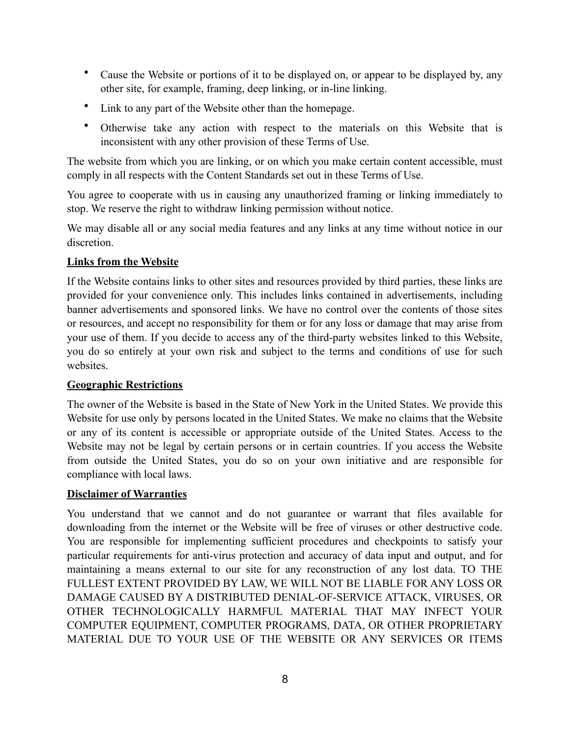- Cause the Website or portions of it to be displayed on, or appear to be displayed by, any other site, for example, framing, deep linking, or in-line linking.
- Link to any part of the Website other than the homepage.
- Otherwise take any action with respect to the materials on this Website that is inconsistent with any other provision of these Terms of Use.

The website from which you are linking, or on which you make certain content accessible, must comply in all respects with the Content Standards set out in these Terms of Use.

You agree to cooperate with us in causing any unauthorized framing or linking immediately to stop. We reserve the right to withdraw linking permission without notice.

We may disable all or any social media features and any links at any time without notice in our discretion.

#### **Links from the Website**

If the Website contains links to other sites and resources provided by third parties, these links are provided for your convenience only. This includes links contained in advertisements, including banner advertisements and sponsored links. We have no control over the contents of those sites or resources, and accept no responsibility for them or for any loss or damage that may arise from your use of them. If you decide to access any of the third-party websites linked to this Website, you do so entirely at your own risk and subject to the terms and conditions of use for such websites.

# **Geographic Restrictions**

The owner of the Website is based in the State of New York in the United States. We provide this Website for use only by persons located in the United States. We make no claims that the Website or any of its content is accessible or appropriate outside of the United States. Access to the Website may not be legal by certain persons or in certain countries. If you access the Website from outside the United States, you do so on your own initiative and are responsible for compliance with local laws.

#### **Disclaimer of Warranties**

You understand that we cannot and do not guarantee or warrant that files available for downloading from the internet or the Website will be free of viruses or other destructive code. You are responsible for implementing sufficient procedures and checkpoints to satisfy your particular requirements for anti-virus protection and accuracy of data input and output, and for maintaining a means external to our site for any reconstruction of any lost data. TO THE FULLEST EXTENT PROVIDED BY LAW, WE WILL NOT BE LIABLE FOR ANY LOSS OR DAMAGE CAUSED BY A DISTRIBUTED DENIAL-OF-SERVICE ATTACK, VIRUSES, OR OTHER TECHNOLOGICALLY HARMFUL MATERIAL THAT MAY INFECT YOUR COMPUTER EQUIPMENT, COMPUTER PROGRAMS, DATA, OR OTHER PROPRIETARY MATERIAL DUE TO YOUR USE OF THE WEBSITE OR ANY SERVICES OR ITEMS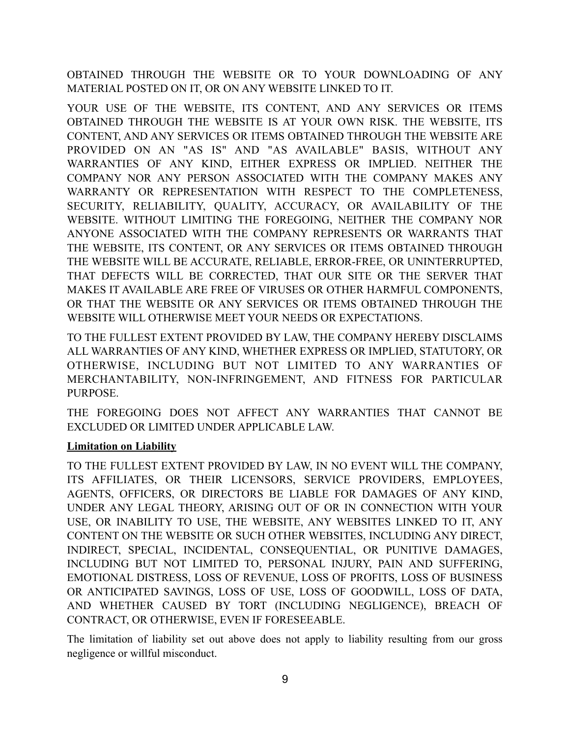OBTAINED THROUGH THE WEBSITE OR TO YOUR DOWNLOADING OF ANY MATERIAL POSTED ON IT, OR ON ANY WEBSITE LINKED TO IT.

YOUR USE OF THE WEBSITE, ITS CONTENT, AND ANY SERVICES OR ITEMS OBTAINED THROUGH THE WEBSITE IS AT YOUR OWN RISK. THE WEBSITE, ITS CONTENT, AND ANY SERVICES OR ITEMS OBTAINED THROUGH THE WEBSITE ARE PROVIDED ON AN "AS IS" AND "AS AVAILABLE" BASIS, WITHOUT ANY WARRANTIES OF ANY KIND, EITHER EXPRESS OR IMPLIED. NEITHER THE COMPANY NOR ANY PERSON ASSOCIATED WITH THE COMPANY MAKES ANY WARRANTY OR REPRESENTATION WITH RESPECT TO THE COMPLETENESS, SECURITY, RELIABILITY, QUALITY, ACCURACY, OR AVAILABILITY OF THE WEBSITE. WITHOUT LIMITING THE FOREGOING, NEITHER THE COMPANY NOR ANYONE ASSOCIATED WITH THE COMPANY REPRESENTS OR WARRANTS THAT THE WEBSITE, ITS CONTENT, OR ANY SERVICES OR ITEMS OBTAINED THROUGH THE WEBSITE WILL BE ACCURATE, RELIABLE, ERROR-FREE, OR UNINTERRUPTED, THAT DEFECTS WILL BE CORRECTED, THAT OUR SITE OR THE SERVER THAT MAKES IT AVAILABLE ARE FREE OF VIRUSES OR OTHER HARMFUL COMPONENTS, OR THAT THE WEBSITE OR ANY SERVICES OR ITEMS OBTAINED THROUGH THE WEBSITE WILL OTHERWISE MEET YOUR NEEDS OR EXPECTATIONS.

TO THE FULLEST EXTENT PROVIDED BY LAW, THE COMPANY HEREBY DISCLAIMS ALL WARRANTIES OF ANY KIND, WHETHER EXPRESS OR IMPLIED, STATUTORY, OR OTHERWISE, INCLUDING BUT NOT LIMITED TO ANY WARRANTIES OF MERCHANTABILITY, NON-INFRINGEMENT, AND FITNESS FOR PARTICULAR PURPOSE.

THE FOREGOING DOES NOT AFFECT ANY WARRANTIES THAT CANNOT BE EXCLUDED OR LIMITED UNDER APPLICABLE LAW.

# **Limitation on Liability**

TO THE FULLEST EXTENT PROVIDED BY LAW, IN NO EVENT WILL THE COMPANY, ITS AFFILIATES, OR THEIR LICENSORS, SERVICE PROVIDERS, EMPLOYEES, AGENTS, OFFICERS, OR DIRECTORS BE LIABLE FOR DAMAGES OF ANY KIND, UNDER ANY LEGAL THEORY, ARISING OUT OF OR IN CONNECTION WITH YOUR USE, OR INABILITY TO USE, THE WEBSITE, ANY WEBSITES LINKED TO IT, ANY CONTENT ON THE WEBSITE OR SUCH OTHER WEBSITES, INCLUDING ANY DIRECT, INDIRECT, SPECIAL, INCIDENTAL, CONSEQUENTIAL, OR PUNITIVE DAMAGES, INCLUDING BUT NOT LIMITED TO, PERSONAL INJURY, PAIN AND SUFFERING, EMOTIONAL DISTRESS, LOSS OF REVENUE, LOSS OF PROFITS, LOSS OF BUSINESS OR ANTICIPATED SAVINGS, LOSS OF USE, LOSS OF GOODWILL, LOSS OF DATA, AND WHETHER CAUSED BY TORT (INCLUDING NEGLIGENCE), BREACH OF CONTRACT, OR OTHERWISE, EVEN IF FORESEEABLE.

The limitation of liability set out above does not apply to liability resulting from our gross negligence or willful misconduct.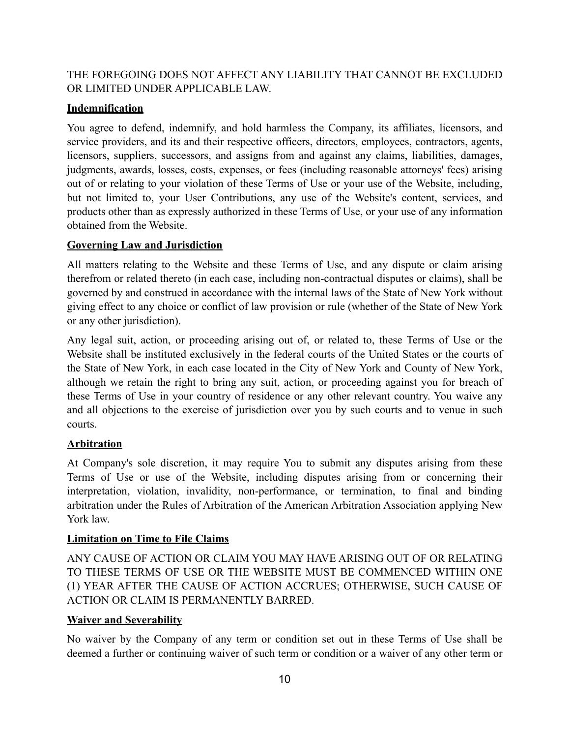# THE FOREGOING DOES NOT AFFECT ANY LIABILITY THAT CANNOT BE EXCLUDED OR LIMITED UNDER APPLICABLE LAW.

# **Indemnification**

You agree to defend, indemnify, and hold harmless the Company, its affiliates, licensors, and service providers, and its and their respective officers, directors, employees, contractors, agents, licensors, suppliers, successors, and assigns from and against any claims, liabilities, damages, judgments, awards, losses, costs, expenses, or fees (including reasonable attorneys' fees) arising out of or relating to your violation of these Terms of Use or your use of the Website, including, but not limited to, your User Contributions, any use of the Website's content, services, and products other than as expressly authorized in these Terms of Use, or your use of any information obtained from the Website.

# <span id="page-9-0"></span>**Governing Law and Jurisdiction**

All matters relating to the Website and these Terms of Use, and any dispute or claim arising therefrom or related thereto (in each case, including non-contractual disputes or claims), shall be governed by and construed in accordance with the internal laws of the State of New York without giving effect to any choice or conflict of law provision or rule (whether of the State of New York or any other jurisdiction).

Any legal suit, action, or proceeding arising out of, or related to, these Terms of Use or the Website shall be instituted exclusively in the federal courts of the United States or the courts of the State of New York, in each case located in the City of New York and County of New York, although we retain the right to bring any suit, action, or proceeding against you for breach of these Terms of Use in your country of residence or any other relevant country. You waive any and all objections to the exercise of jurisdiction over you by such courts and to venue in such courts.

# **Arbitration**

At Company's sole discretion, it may require You to submit any disputes arising from these Terms of Use or use of the Website, including disputes arising from or concerning their interpretation, violation, invalidity, non-performance, or termination, to final and binding arbitration under the Rules of Arbitration of the American Arbitration Association applying New York law.

# **Limitation on Time to File Claims**

ANY CAUSE OF ACTION OR CLAIM YOU MAY HAVE ARISING OUT OF OR RELATING TO THESE TERMS OF USE OR THE WEBSITE MUST BE COMMENCED WITHIN ONE (1) YEAR AFTER THE CAUSE OF ACTION ACCRUES; OTHERWISE, SUCH CAUSE OF ACTION OR CLAIM IS PERMANENTLY BARRED.

# **Waiver and Severability**

No waiver by the Company of any term or condition set out in these Terms of Use shall be deemed a further or continuing waiver of such term or condition or a waiver of any other term or